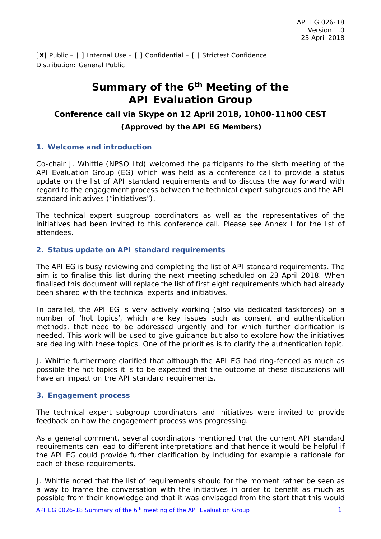# **Summary of the 6th Meeting of the API Evaluation Group**

### **Conference call via Skype on 12 April 2018, 10h00-11h00 CEST**

#### **(Approved by the API EG Members)**

#### **1. Welcome and introduction**

Co-chair J. Whittle (NPSO Ltd) welcomed the participants to the sixth meeting of the API Evaluation Group (EG) which was held as a conference call to provide a status update on the list of API standard requirements and to discuss the way forward with regard to the engagement process between the technical expert subgroups and the API standard initiatives ("initiatives").

The technical expert subgroup coordinators as well as the representatives of the initiatives had been invited to this conference call. Please see Annex I for the list of attendees.

#### **2. Status update on API standard requirements**

The API EG is busy reviewing and completing the list of API standard requirements. The aim is to finalise this list during the next meeting scheduled on 23 April 2018. When finalised this document will replace the list of first eight requirements which had already been shared with the technical experts and initiatives.

In parallel, the API EG is very actively working (also via dedicated taskforces) on a number of 'hot topics', which are key issues such as consent and authentication methods, that need to be addressed urgently and for which further clarification is needed. This work will be used to give guidance but also to explore how the initiatives are dealing with these topics. One of the priorities is to clarify the authentication topic.

J. Whittle furthermore clarified that although the API EG had ring-fenced as much as possible the hot topics it is to be expected that the outcome of these discussions will have an impact on the API standard requirements.

### **3. Engagement process**

The technical expert subgroup coordinators and initiatives were invited to provide feedback on how the engagement process was progressing.

As a general comment, several coordinators mentioned that the current API standard requirements can lead to different interpretations and that hence it would be helpful if the API EG could provide further clarification by including for example a rationale for each of these requirements.

J. Whittle noted that the list of requirements should for the moment rather be seen as a way to frame the conversation with the initiatives in order to benefit as much as possible from their knowledge and that it was envisaged from the start that this would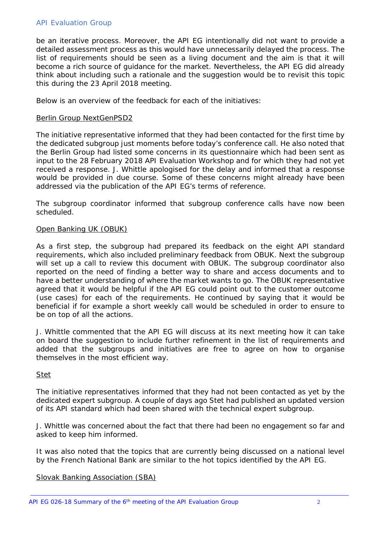be an iterative process. Moreover, the API EG intentionally did not want to provide a detailed assessment process as this would have unnecessarily delayed the process. The list of requirements should be seen as a living document and the aim is that it will become a rich source of guidance for the market. Nevertheless, the API EG did already think about including such a rationale and the suggestion would be to revisit this topic this during the 23 April 2018 meeting.

Below is an overview of the feedback for each of the initiatives:

#### Berlin Group NextGenPSD2

The initiative representative informed that they had been contacted for the first time by the dedicated subgroup just moments before today's conference call. He also noted that the Berlin Group had listed some concerns in its questionnaire which had been sent as input to the 28 February 2018 API Evaluation Workshop and for which they had not yet received a response. J. Whittle apologised for the delay and informed that a response would be provided in due course. Some of these concerns might already have been addressed via the publication of the API EG's terms of reference.

The subgroup coordinator informed that subgroup conference calls have now been scheduled.

#### Open Banking UK (OBUK)

As a first step, the subgroup had prepared its feedback on the eight API standard requirements, which also included preliminary feedback from OBUK. Next the subgroup will set up a call to review this document with OBUK. The subgroup coordinator also reported on the need of finding a better way to share and access documents and to have a better understanding of where the market wants to go. The OBUK representative agreed that it would be helpful if the API EG could point out to the customer outcome (use cases) for each of the requirements. He continued by saying that it would be beneficial if for example a short weekly call would be scheduled in order to ensure to be on top of all the actions.

J. Whittle commented that the API EG will discuss at its next meeting how it can take on board the suggestion to include further refinement in the list of requirements and added that the subgroups and initiatives are free to agree on how to organise themselves in the most efficient way.

#### Stet

The initiative representatives informed that they had not been contacted as yet by the dedicated expert subgroup. A couple of days ago Stet had published an updated version of its API standard which had been shared with the technical expert subgroup.

J. Whittle was concerned about the fact that there had been no engagement so far and asked to keep him informed.

It was also noted that the topics that are currently being discussed on a national level by the French National Bank are similar to the hot topics identified by the API EG.

### Slovak Banking Association (SBA)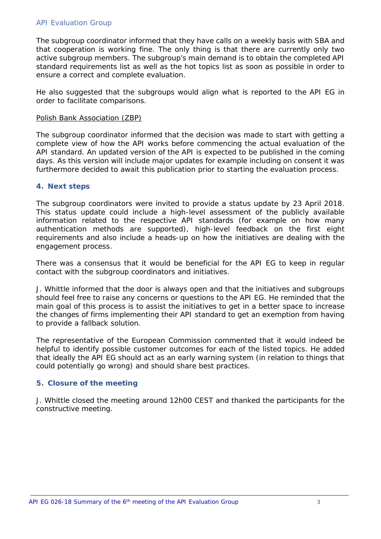The subgroup coordinator informed that they have calls on a weekly basis with SBA and that cooperation is working fine. The only thing is that there are currently only two active subgroup members. The subgroup's main demand is to obtain the completed API standard requirements list as well as the hot topics list as soon as possible in order to ensure a correct and complete evaluation.

He also suggested that the subgroups would align what is reported to the API EG in order to facilitate comparisons.

#### Polish Bank Association (ZBP)

The subgroup coordinator informed that the decision was made to start with getting a complete view of how the API works before commencing the actual evaluation of the API standard. An updated version of the API is expected to be published in the coming days. As this version will include major updates for example including on consent it was furthermore decided to await this publication prior to starting the evaluation process.

#### **4. Next steps**

The subgroup coordinators were invited to provide a status update by 23 April 2018. This status update could include a high-level assessment of the publicly available information related to the respective API standards (for example on how many authentication methods are supported), high-level feedback on the first eight requirements and also include a heads-up on how the initiatives are dealing with the engagement process.

There was a consensus that it would be beneficial for the API EG to keep in regular contact with the subgroup coordinators and initiatives.

J. Whittle informed that the door is always open and that the initiatives and subgroups should feel free to raise any concerns or questions to the API EG. He reminded that the main goal of this process is to assist the initiatives to get in a better space to increase the changes of firms implementing their API standard to get an exemption from having to provide a fallback solution.

The representative of the European Commission commented that it would indeed be helpful to identify possible customer outcomes for each of the listed topics. He added that ideally the API EG should act as an early warning system (in relation to things that could potentially go wrong) and should share best practices.

### **5. Closure of the meeting**

J. Whittle closed the meeting around 12h00 CEST and thanked the participants for the constructive meeting.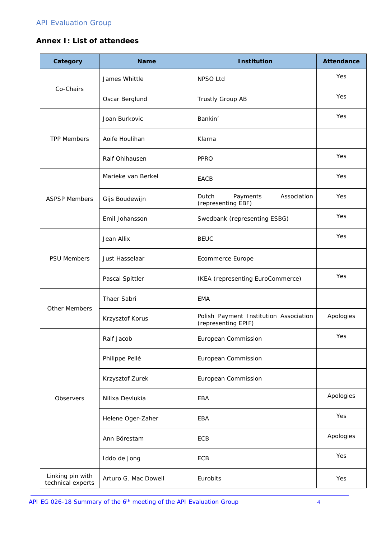### **Annex I: List of attendees**

| Category                              | <b>Name</b>          | <b>Institution</b>                                            | <b>Attendance</b> |
|---------------------------------------|----------------------|---------------------------------------------------------------|-------------------|
|                                       | James Whittle        | NPSO Ltd                                                      | Yes               |
| Co-Chairs                             | Oscar Berglund       | Trustly Group AB                                              | Yes               |
|                                       | Joan Burkovic        | Bankin'                                                       | Yes               |
| <b>TPP Members</b>                    | Aoife Houlihan       | Klarna                                                        |                   |
|                                       | Ralf Ohlhausen       | <b>PPRO</b>                                                   | Yes               |
|                                       | Marieke van Berkel   | EACB                                                          | Yes               |
| <b>ASPSP Members</b>                  | Gijs Boudewijn       | Dutch<br>Payments<br>Association<br>(representing EBF)        | Yes               |
|                                       | Emil Johansson       | Swedbank (representing ESBG)                                  | Yes               |
| <b>PSU Members</b>                    | Jean Allix           | <b>BEUC</b>                                                   | Yes               |
|                                       | Just Hasselaar       | <b>Ecommerce Europe</b>                                       |                   |
|                                       | Pascal Spittler      | IKEA (representing EuroCommerce)                              | Yes               |
|                                       | Thaer Sabri          | <b>EMA</b>                                                    |                   |
| Other Members                         | Krzysztof Korus      | Polish Payment Institution Association<br>(representing EPIF) | Apologies         |
|                                       | Ralf Jacob           | European Commission                                           | Yes               |
|                                       | Philippe Pellé       | European Commission                                           |                   |
|                                       | Krzysztof Zurek      | European Commission                                           |                   |
| Observers                             | Nilixa Devlukia      | EBA                                                           | Apologies         |
|                                       | Helene Oger-Zaher    | EBA                                                           | Yes               |
|                                       | Ann Börestam         | ECB                                                           | Apologies         |
|                                       | Iddo de Jong         | ECB                                                           | Yes               |
| Linking pin with<br>technical experts | Arturo G. Mac Dowell | Eurobits                                                      | Yes               |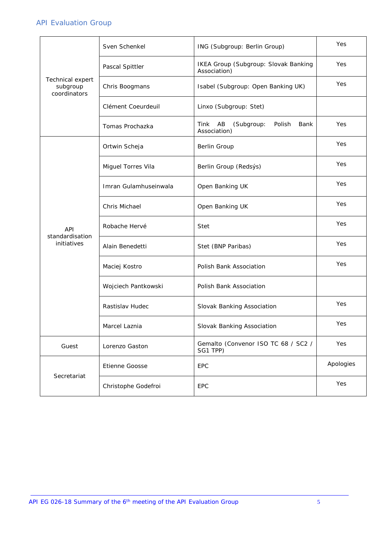|                                              | Sven Schenkel         | ING (Subgroup: Berlin Group)                               | Yes       |
|----------------------------------------------|-----------------------|------------------------------------------------------------|-----------|
| Technical expert<br>subgroup<br>coordinators | Pascal Spittler       | IKEA Group (Subgroup: Slovak Banking<br>Association)       | Yes       |
|                                              | Chris Boogmans        | Isabel (Subgroup: Open Banking UK)                         | Yes       |
|                                              | Clément Coeurdeuil    | Linxo (Subgroup: Stet)                                     |           |
|                                              | Tomas Prochazka       | AB<br>Tink<br>(Subgroup:<br>Polish<br>Bank<br>Association) | Yes       |
| <b>API</b><br>standardisation<br>initiatives | Ortwin Scheja         | <b>Berlin Group</b>                                        | Yes       |
|                                              | Miguel Torres Vila    | Berlin Group (Redsýs)                                      | Yes       |
|                                              | Imran Gulamhuseinwala | Open Banking UK                                            | Yes       |
|                                              | Chris Michael         | Open Banking UK                                            | Yes       |
|                                              | Robache Hervé         | <b>Stet</b>                                                | Yes       |
|                                              | Alain Benedetti       | Stet (BNP Paribas)                                         | Yes       |
|                                              | Maciej Kostro         | Polish Bank Association                                    | Yes       |
|                                              | Wojciech Pantkowski   | Polish Bank Association                                    |           |
|                                              | Rastislav Hudec       | Slovak Banking Association                                 | Yes       |
|                                              | Marcel Laznia         | Slovak Banking Association                                 | Yes       |
| Guest                                        | Lorenzo Gaston        | Gemalto (Convenor ISO TC 68 / SC2 /<br>SG1 TPP)            | Yes       |
| Secretariat                                  | Etienne Goosse        | EPC                                                        | Apologies |
|                                              | Christophe Godefroi   | EPC                                                        | Yes       |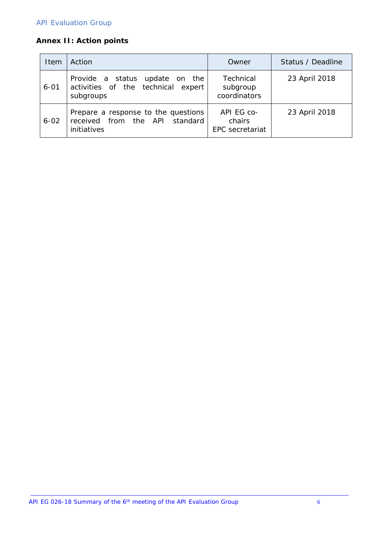# **Annex II: Action points**

| Item     | Action                                                                               | Owner                                          | Status / Deadline |
|----------|--------------------------------------------------------------------------------------|------------------------------------------------|-------------------|
| $6 - 01$ | Provide a status update on the<br>activities of the technical expert<br>subgroups    | Technical<br>subgroup<br>coordinators          | 23 April 2018     |
| $6 - 02$ | Prepare a response to the questions<br>received from the API standard<br>initiatives | API EG co-<br>chairs<br><b>EPC</b> secretariat | 23 April 2018     |